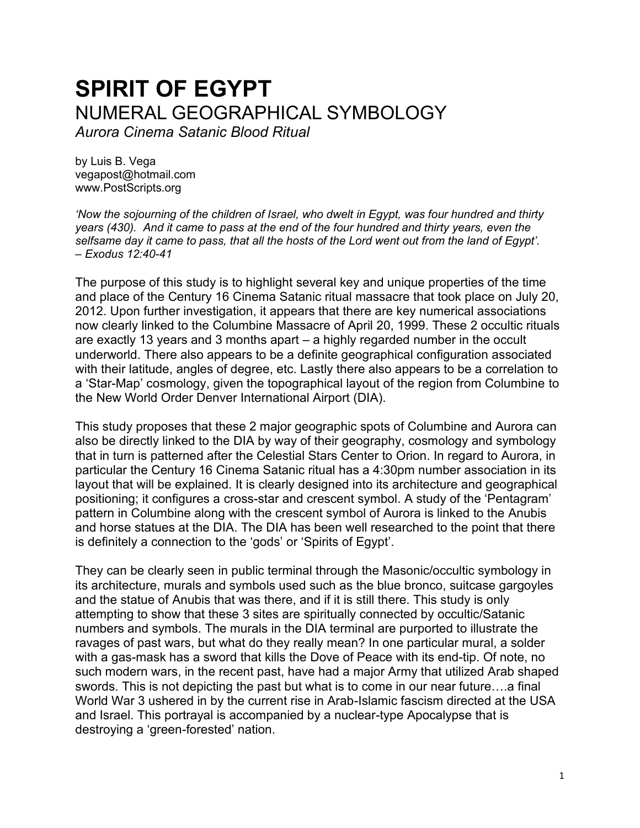# **SPIRIT OF EGYPT** NUMERAL GEOGRAPHICAL SYMBOLOGY

*Aurora Cinema Satanic Blood Ritual*

by Luis B. Vega [vegapost@hotmail.com](mailto:vegapost@hotmail.com)  [www.PostScripts.org](http://www.postscripts.org/)

*'Now the sojourning of the children of Israel, who dwelt in Egypt, was four hundred and thirty years (430). And it came to pass at the end of the four hundred and thirty years, even the selfsame day it came to pass, that all the hosts of the Lord went out from the land of Egypt'. – Exodus 12:40-41*

The purpose of this study is to highlight several key and unique properties of the time and place of the Century 16 Cinema Satanic ritual massacre that took place on July 20, 2012. Upon further investigation, it appears that there are key numerical associations now clearly linked to the Columbine Massacre of April 20, 1999. These 2 occultic rituals are exactly 13 years and 3 months apart – a highly regarded number in the occult underworld. There also appears to be a definite geographical configuration associated with their latitude, angles of degree, etc. Lastly there also appears to be a correlation to a 'Star-Map' cosmology, given the topographical layout of the region from Columbine to the New World Order Denver International Airport (DIA).

This study proposes that these 2 major geographic spots of Columbine and Aurora can also be directly linked to the DIA by way of their geography, cosmology and symbology that in turn is patterned after the Celestial Stars Center to Orion. In regard to Aurora, in particular the Century 16 Cinema Satanic ritual has a 4:30pm number association in its layout that will be explained. It is clearly designed into its architecture and geographical positioning; it configures a cross-star and crescent symbol. A study of the 'Pentagram' pattern in Columbine along with the crescent symbol of Aurora is linked to the Anubis and horse statues at the DIA. The DIA has been well researched to the point that there is definitely a connection to the 'gods' or 'Spirits of Egypt'.

They can be clearly seen in public terminal through the Masonic/occultic symbology in its architecture, murals and symbols used such as the blue bronco, suitcase gargoyles and the statue of Anubis that was there, and if it is still there. This study is only attempting to show that these 3 sites are spiritually connected by occultic/Satanic numbers and symbols. The murals in the DIA terminal are purported to illustrate the ravages of past wars, but what do they really mean? In one particular mural, a solder with a gas-mask has a sword that kills the Dove of Peace with its end-tip. Of note, no such modern wars, in the recent past, have had a major Army that utilized Arab shaped swords. This is not depicting the past but what is to come in our near future….a final World War 3 ushered in by the current rise in Arab-Islamic fascism directed at the USA and Israel. This portrayal is accompanied by a nuclear-type Apocalypse that is destroying a 'green-forested' nation.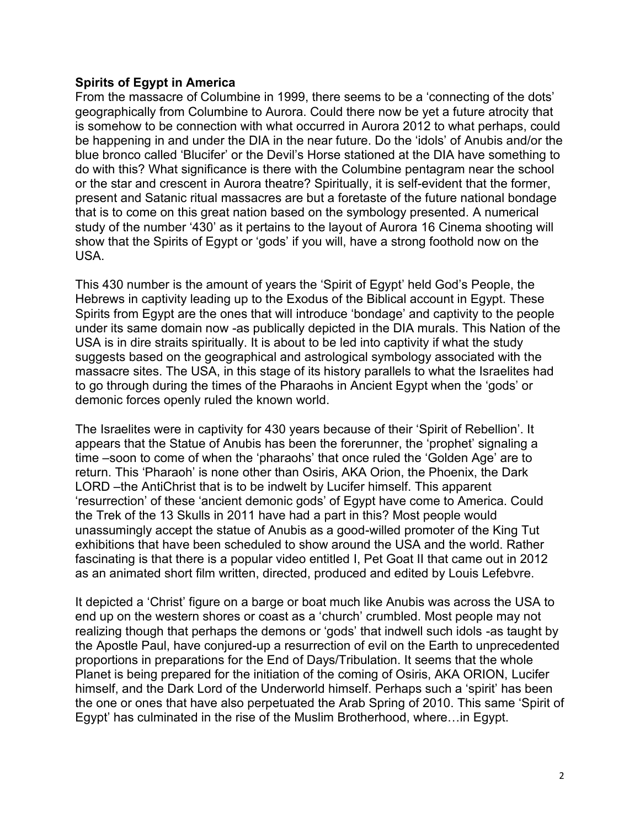## **Spirits of Egypt in America**

From the massacre of Columbine in 1999, there seems to be a 'connecting of the dots' geographically from Columbine to Aurora. Could there now be yet a future atrocity that is somehow to be connection with what occurred in Aurora 2012 to what perhaps, could be happening in and under the DIA in the near future. Do the 'idols' of Anubis and/or the blue bronco called 'Blucifer' or the Devil's Horse stationed at the DIA have something to do with this? What significance is there with the Columbine pentagram near the school or the star and crescent in Aurora theatre? Spiritually, it is self-evident that the former, present and Satanic ritual massacres are but a foretaste of the future national bondage that is to come on this great nation based on the symbology presented. A numerical study of the number '430' as it pertains to the layout of Aurora 16 Cinema shooting will show that the Spirits of Egypt or 'gods' if you will, have a strong foothold now on the USA.

This 430 number is the amount of years the 'Spirit of Egypt' held God's People, the Hebrews in captivity leading up to the Exodus of the Biblical account in Egypt. These Spirits from Egypt are the ones that will introduce 'bondage' and captivity to the people under its same domain now -as publically depicted in the DIA murals. This Nation of the USA is in dire straits spiritually. It is about to be led into captivity if what the study suggests based on the geographical and astrological symbology associated with the massacre sites. The USA, in this stage of its history parallels to what the Israelites had to go through during the times of the Pharaohs in Ancient Egypt when the 'gods' or demonic forces openly ruled the known world.

The Israelites were in captivity for 430 years because of their 'Spirit of Rebellion'. It appears that the Statue of Anubis has been the forerunner, the 'prophet' signaling a time –soon to come of when the 'pharaohs' that once ruled the 'Golden Age' are to return. This 'Pharaoh' is none other than Osiris, AKA Orion, the Phoenix, the Dark LORD –the AntiChrist that is to be indwelt by Lucifer himself. This apparent 'resurrection' of these 'ancient demonic gods' of Egypt have come to America. Could the Trek of the 13 Skulls in 2011 have had a part in this? Most people would unassumingly accept the statue of Anubis as a good-willed promoter of the King Tut exhibitions that have been scheduled to show around the USA and the world. Rather fascinating is that there is a popular video entitled I, Pet Goat II that came out in 2012 as an animated short film written, directed, produced and edited by Louis Lefebvre.

It depicted a 'Christ' figure on a barge or boat much like Anubis was across the USA to end up on the western shores or coast as a 'church' crumbled. Most people may not realizing though that perhaps the demons or 'gods' that indwell such idols -as taught by the Apostle Paul, have conjured-up a resurrection of evil on the Earth to unprecedented proportions in preparations for the End of Days/Tribulation. It seems that the whole Planet is being prepared for the initiation of the coming of Osiris, AKA ORION, Lucifer himself, and the Dark Lord of the Underworld himself. Perhaps such a 'spirit' has been the one or ones that have also perpetuated the Arab Spring of 2010. This same 'Spirit of Egypt' has culminated in the rise of the Muslim Brotherhood, where…in Egypt.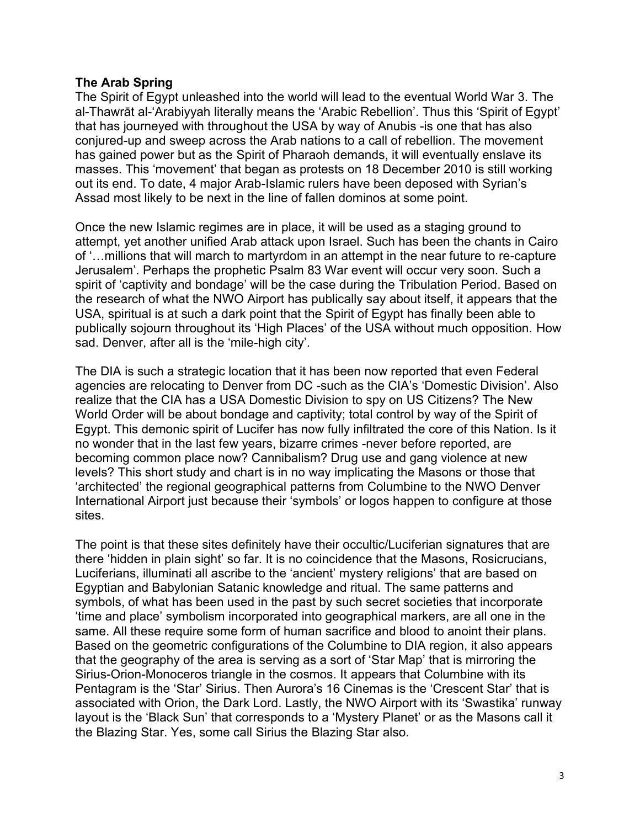## **The Arab Spring**

The Spirit of Egypt unleashed into the world will lead to the eventual World War 3. The al-Thawrāt al-ʻArabiyyah literally means the 'Arabic Rebellion'. Thus this 'Spirit of Egypt' that has journeyed with throughout the USA by way of Anubis -is one that has also conjured-up and sweep across the Arab nations to a call of rebellion. The movement has gained power but as the Spirit of Pharaoh demands, it will eventually enslave its masses. This 'movement' that began as protests on 18 December 2010 is still working out its end. To date, 4 major Arab-Islamic rulers have been deposed with Syrian's Assad most likely to be next in the line of fallen dominos at some point.

Once the new Islamic regimes are in place, it will be used as a staging ground to attempt, yet another unified Arab attack upon Israel. Such has been the chants in Cairo of '…millions that will march to martyrdom in an attempt in the near future to re-capture Jerusalem'. Perhaps the prophetic Psalm 83 War event will occur very soon. Such a spirit of 'captivity and bondage' will be the case during the Tribulation Period. Based on the research of what the NWO Airport has publically say about itself, it appears that the USA, spiritual is at such a dark point that the Spirit of Egypt has finally been able to publically sojourn throughout its 'High Places' of the USA without much opposition. How sad. Denver, after all is the 'mile-high city'.

The DIA is such a strategic location that it has been now reported that even Federal agencies are relocating to Denver from DC -such as the CIA's 'Domestic Division'. Also realize that the CIA has a USA Domestic Division to spy on US Citizens? The New World Order will be about bondage and captivity; total control by way of the Spirit of Egypt. This demonic spirit of Lucifer has now fully infiltrated the core of this Nation. Is it no wonder that in the last few years, bizarre crimes -never before reported, are becoming common place now? Cannibalism? Drug use and gang violence at new levels? This short study and chart is in no way implicating the Masons or those that 'architected' the regional geographical patterns from Columbine to the NWO Denver International Airport just because their 'symbols' or logos happen to configure at those sites.

The point is that these sites definitely have their occultic/Luciferian signatures that are there 'hidden in plain sight' so far. It is no coincidence that the Masons, Rosicrucians, Luciferians, illuminati all ascribe to the 'ancient' mystery religions' that are based on Egyptian and Babylonian Satanic knowledge and ritual. The same patterns and symbols, of what has been used in the past by such secret societies that incorporate 'time and place' symbolism incorporated into geographical markers, are all one in the same. All these require some form of human sacrifice and blood to anoint their plans. Based on the geometric configurations of the Columbine to DIA region, it also appears that the geography of the area is serving as a sort of 'Star Map' that is mirroring the Sirius-Orion-Monoceros triangle in the cosmos. It appears that Columbine with its Pentagram is the 'Star' Sirius. Then Aurora's 16 Cinemas is the 'Crescent Star' that is associated with Orion, the Dark Lord. Lastly, the NWO Airport with its 'Swastika' runway layout is the 'Black Sun' that corresponds to a 'Mystery Planet' or as the Masons call it the Blazing Star. Yes, some call Sirius the Blazing Star also.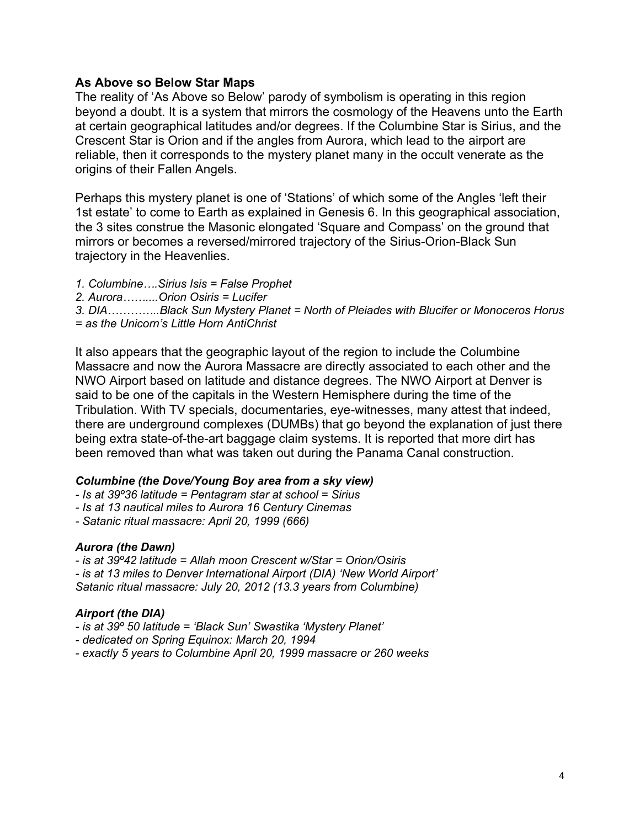## **As Above so Below Star Maps**

The reality of 'As Above so Below' parody of symbolism is operating in this region beyond a doubt. It is a system that mirrors the cosmology of the Heavens unto the Earth at certain geographical latitudes and/or degrees. If the Columbine Star is Sirius, and the Crescent Star is Orion and if the angles from Aurora, which lead to the airport are reliable, then it corresponds to the mystery planet many in the occult venerate as the origins of their Fallen Angels.

Perhaps this mystery planet is one of 'Stations' of which some of the Angles 'left their 1st estate' to come to Earth as explained in Genesis 6. In this geographical association, the 3 sites construe the Masonic elongated 'Square and Compass' on the ground that mirrors or becomes a reversed/mirrored trajectory of the Sirius-Orion-Black Sun trajectory in the Heavenlies.

*1. Columbine….Sirius Isis = False Prophet 2. Aurora……....Orion Osiris = Lucifer 3. DIA…………..Black Sun Mystery Planet = North of Pleiades with Blucifer or Monoceros Horus = as the Unicorn's Little Horn AntiChrist*

It also appears that the geographic layout of the region to include the Columbine Massacre and now the Aurora Massacre are directly associated to each other and the NWO Airport based on latitude and distance degrees. The NWO Airport at Denver is said to be one of the capitals in the Western Hemisphere during the time of the Tribulation. With TV specials, documentaries, eye-witnesses, many attest that indeed, there are underground complexes (DUMBs) that go beyond the explanation of just there being extra state-of-the-art baggage claim systems. It is reported that more dirt has been removed than what was taken out during the Panama Canal construction.

### *Columbine (the Dove/Young Boy area from a sky view)*

*- Is at 39º36 latitude = Pentagram star at school = Sirius*

*- Is at 13 nautical miles to Aurora 16 Century Cinemas*

*- Satanic ritual massacre: April 20, 1999 (666)*

### *Aurora (the Dawn)*

*- is at 39º42 latitude = Allah moon Crescent w/Star = Orion/Osiris - is at 13 miles to Denver International Airport (DIA) 'New World Airport' Satanic ritual massacre: July 20, 2012 (13.3 years from Columbine)*

### *Airport (the DIA)*

- *- is at 39º 50 latitude = 'Black Sun' Swastika 'Mystery Planet'*
- *- dedicated on Spring Equinox: March 20, 1994*
- *- exactly 5 years to Columbine April 20, 1999 massacre or 260 weeks*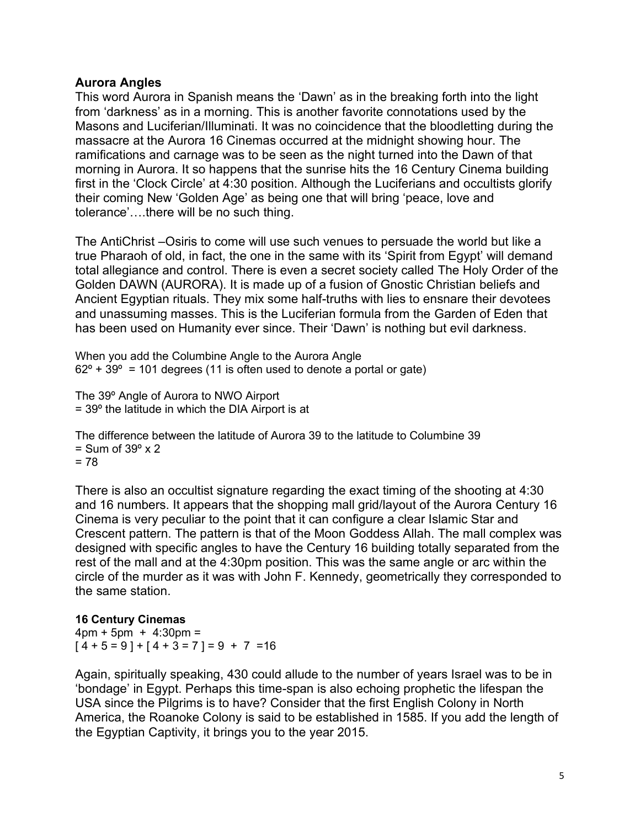## **Aurora Angles**

This word Aurora in Spanish means the 'Dawn' as in the breaking forth into the light from 'darkness' as in a morning. This is another favorite connotations used by the Masons and Luciferian/Illuminati. It was no coincidence that the bloodletting during the massacre at the Aurora 16 Cinemas occurred at the midnight showing hour. The ramifications and carnage was to be seen as the night turned into the Dawn of that morning in Aurora. It so happens that the sunrise hits the 16 Century Cinema building first in the 'Clock Circle' at 4:30 position. Although the Luciferians and occultists glorify their coming New 'Golden Age' as being one that will bring 'peace, love and tolerance'….there will be no such thing.

The AntiChrist –Osiris to come will use such venues to persuade the world but like a true Pharaoh of old, in fact, the one in the same with its 'Spirit from Egypt' will demand total allegiance and control. There is even a secret society called The Holy Order of the Golden DAWN (AURORA). It is made up of a fusion of Gnostic Christian beliefs and Ancient Egyptian rituals. They mix some half-truths with lies to ensnare their devotees and unassuming masses. This is the Luciferian formula from the Garden of Eden that has been used on Humanity ever since. Their 'Dawn' is nothing but evil darkness.

When you add the Columbine Angle to the Aurora Angle  $62^{\circ}$  + 39 $^{\circ}$  = 101 degrees (11 is often used to denote a portal or gate)

The 39º Angle of Aurora to NWO Airport  $= 39^{\circ}$  the latitude in which the DIA Airport is at

The difference between the latitude of Aurora 39 to the latitude to Columbine 39  $=$  Sum of 39 $\degree$  x 2  $= 78$ 

There is also an occultist signature regarding the exact timing of the shooting at 4:30 and 16 numbers. It appears that the shopping mall grid/layout of the Aurora Century 16 Cinema is very peculiar to the point that it can configure a clear Islamic Star and Crescent pattern. The pattern is that of the Moon Goddess Allah. The mall complex was designed with specific angles to have the Century 16 building totally separated from the rest of the mall and at the 4:30pm position. This was the same angle or arc within the circle of the murder as it was with John F. Kennedy, geometrically they corresponded to the same station.

### **16 Century Cinemas**

 $4pm + 5pm + 4:30pm =$  $[4 + 5 = 9] + [4 + 3 = 7] = 9 + 7 = 16$ 

Again, spiritually speaking, 430 could allude to the number of years Israel was to be in 'bondage' in Egypt. Perhaps this time-span is also echoing prophetic the lifespan the USA since the Pilgrims is to have? Consider that the first English Colony in North America, the Roanoke Colony is said to be established in 1585. If you add the length of the Egyptian Captivity, it brings you to the year 2015.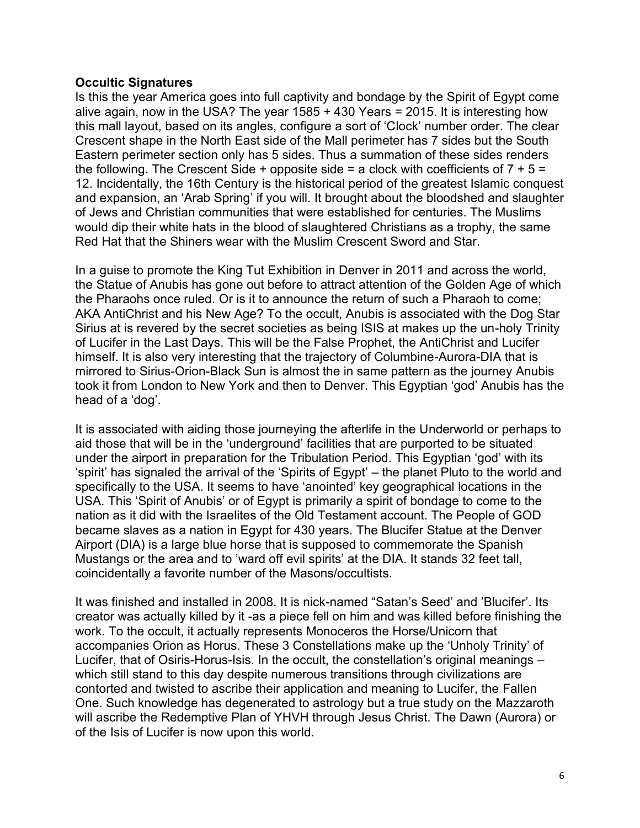## **Occultic Signatures**

Is this the year America goes into full captivity and bondage by the Spirit of Egypt come alive again, now in the USA? The year 1585 + 430 Years = 2015. It is interesting how this mall layout, based on its angles, configure a sort of 'Clock' number order. The clear Crescent shape in the North East side of the Mall perimeter has 7 sides but the South Eastern perimeter section only has 5 sides. Thus a summation of these sides renders the following. The Crescent Side + opposite side = a clock with coefficients of  $7 + 5 =$ 12. Incidentally, the 16th Century is the historical period of the greatest Islamic conquest and expansion, an 'Arab Spring' if you will. It brought about the bloodshed and slaughter of Jews and Christian communities that were established for centuries. The Muslims would dip their white hats in the blood of slaughtered Christians as a trophy, the same Red Hat that the Shiners wear with the Muslim Crescent Sword and Star.

In a guise to promote the King Tut Exhibition in Denver in 2011 and across the world, the Statue of Anubis has gone out before to attract attention of the Golden Age of which the Pharaohs once ruled. Or is it to announce the return of such a Pharaoh to come; AKA AntiChrist and his New Age? To the occult, Anubis is associated with the Dog Star Sirius at is revered by the secret societies as being ISIS at makes up the un-holy Trinity of Lucifer in the Last Days. This will be the False Prophet, the AntiChrist and Lucifer himself. It is also very interesting that the trajectory of Columbine-Aurora-DIA that is mirrored to Sirius-Orion-Black Sun is almost the in same pattern as the journey Anubis took it from London to New York and then to Denver. This Egyptian 'god' Anubis has the head of a 'dog'.

It is associated with aiding those journeying the afterlife in the Underworld or perhaps to aid those that will be in the 'underground' facilities that are purported to be situated under the airport in preparation for the Tribulation Period. This Egyptian 'god' with its 'spirit' has signaled the arrival of the 'Spirits of Egypt' – the planet Pluto to the world and specifically to the USA. It seems to have 'anointed' key geographical locations in the USA. This 'Spirit of Anubis' or of Egypt is primarily a spirit of bondage to come to the nation as it did with the Israelites of the Old Testament account. The People of GOD became slaves as a nation in Egypt for 430 years. The Blucifer Statue at the Denver Airport (DIA) is a large blue horse that is supposed to commemorate the Spanish Mustangs or the area and to 'ward off evil spirits' at the DIA. It stands 32 feet tall, coincidentally a favorite number of the Masons/occultists.

It was finished and installed in 2008. It is nick-named "Satan's Seed' and 'Blucifer'. Its creator was actually killed by it -as a piece fell on him and was killed before finishing the work. To the occult, it actually represents Monoceros the Horse/Unicorn that accompanies Orion as Horus. These 3 Constellations make up the 'Unholy Trinity' of Lucifer, that of Osiris-Horus-Isis. In the occult, the constellation's original meanings – which still stand to this day despite numerous transitions through civilizations are contorted and twisted to ascribe their application and meaning to Lucifer, the Fallen One. Such knowledge has degenerated to astrology but a true study on the Mazzaroth will ascribe the Redemptive Plan of YHVH through Jesus Christ. The Dawn (Aurora) or of the Isis of Lucifer is now upon this world.